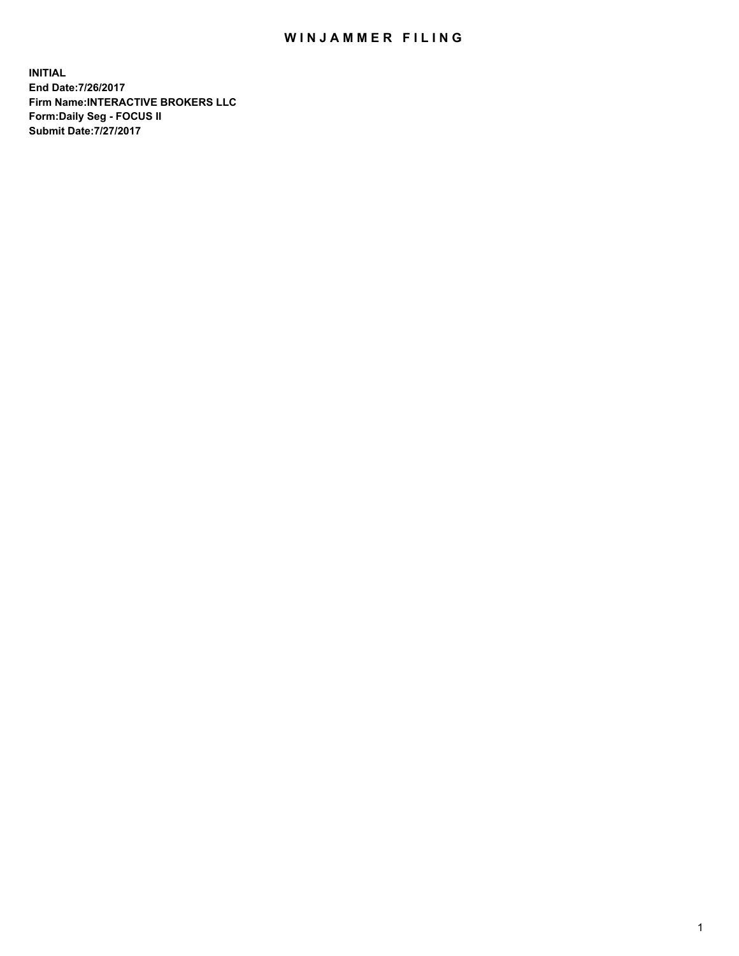## WIN JAMMER FILING

**INITIAL End Date:7/26/2017 Firm Name:INTERACTIVE BROKERS LLC Form:Daily Seg - FOCUS II Submit Date:7/27/2017**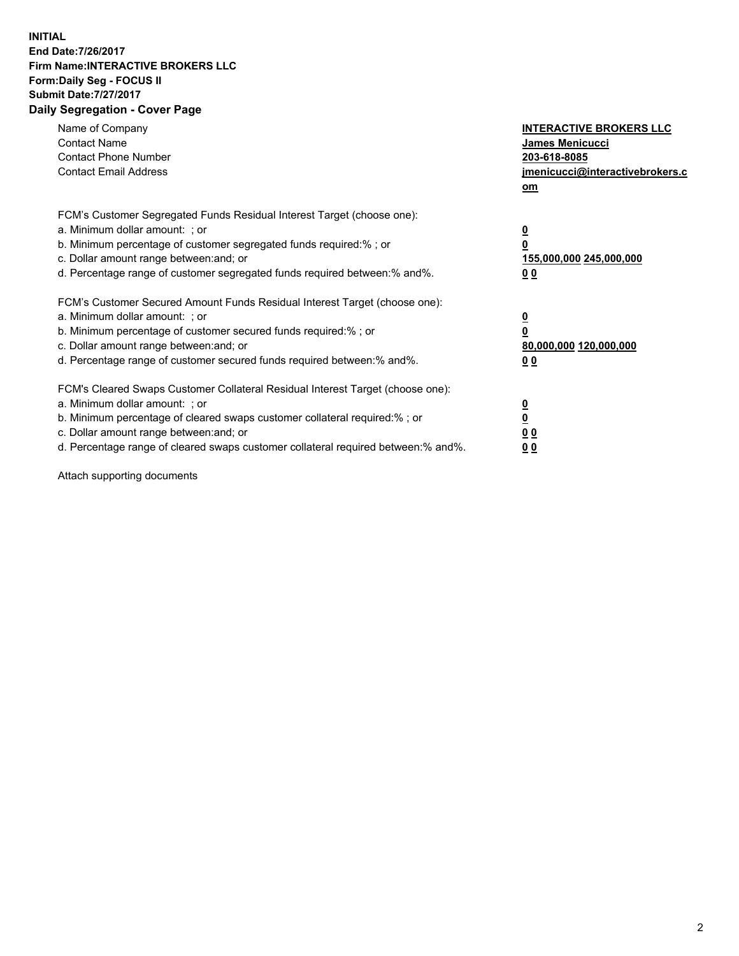## **INITIAL End Date:7/26/2017 Firm Name:INTERACTIVE BROKERS LLC Form:Daily Seg - FOCUS II Submit Date:7/27/2017 Daily Segregation - Cover Page**

| Name of Company<br><b>Contact Name</b><br><b>Contact Phone Number</b><br><b>Contact Email Address</b>                                                                                                                                                                                                                          | <b>INTERACTIVE BROKERS LLC</b><br><b>James Menicucci</b><br>203-618-8085<br>jmenicucci@interactivebrokers.c<br>om |
|--------------------------------------------------------------------------------------------------------------------------------------------------------------------------------------------------------------------------------------------------------------------------------------------------------------------------------|-------------------------------------------------------------------------------------------------------------------|
| FCM's Customer Segregated Funds Residual Interest Target (choose one):<br>a. Minimum dollar amount: ; or<br>b. Minimum percentage of customer segregated funds required:%; or<br>c. Dollar amount range between: and; or<br>d. Percentage range of customer segregated funds required between:% and%.                          | $\overline{\mathbf{0}}$<br>0<br>155,000,000 245,000,000<br>0 <sub>0</sub>                                         |
| FCM's Customer Secured Amount Funds Residual Interest Target (choose one):<br>a. Minimum dollar amount: ; or<br>b. Minimum percentage of customer secured funds required:%; or<br>c. Dollar amount range between: and; or<br>d. Percentage range of customer secured funds required between: % and %.                          | $\overline{\mathbf{0}}$<br>0<br>80,000,000 120,000,000<br>0 <sub>0</sub>                                          |
| FCM's Cleared Swaps Customer Collateral Residual Interest Target (choose one):<br>a. Minimum dollar amount: ; or<br>b. Minimum percentage of cleared swaps customer collateral required:% ; or<br>c. Dollar amount range between: and; or<br>d. Percentage range of cleared swaps customer collateral required between:% and%. | $\overline{\mathbf{0}}$<br>$\overline{\mathbf{0}}$<br>0 <sub>0</sub><br><u>00</u>                                 |

Attach supporting documents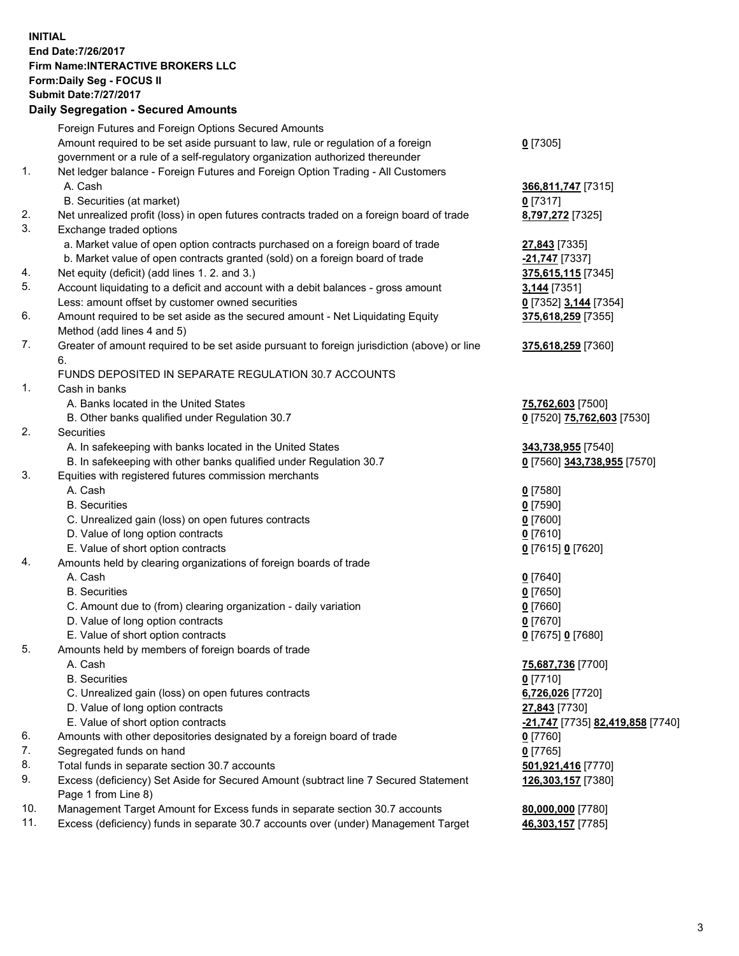## **INITIAL End Date:7/26/2017 Firm Name:INTERACTIVE BROKERS LLC Form:Daily Seg - FOCUS II Submit Date:7/27/2017 Daily Segregation - Secured Amounts**

|     | Dany Ocgregation - Oceaned Announts                                                         |                                  |
|-----|---------------------------------------------------------------------------------------------|----------------------------------|
|     | Foreign Futures and Foreign Options Secured Amounts                                         |                                  |
|     | Amount required to be set aside pursuant to law, rule or regulation of a foreign            | $0$ [7305]                       |
|     | government or a rule of a self-regulatory organization authorized thereunder                |                                  |
| 1.  | Net ledger balance - Foreign Futures and Foreign Option Trading - All Customers             |                                  |
|     | A. Cash                                                                                     | 366,811,747 [7315]               |
|     | B. Securities (at market)                                                                   | $0$ [7317]                       |
| 2.  | Net unrealized profit (loss) in open futures contracts traded on a foreign board of trade   | 8,797,272 [7325]                 |
| 3.  | Exchange traded options                                                                     |                                  |
|     | a. Market value of open option contracts purchased on a foreign board of trade              | 27,843 [7335]                    |
|     | b. Market value of open contracts granted (sold) on a foreign board of trade                | -21,747 [7337]                   |
| 4.  | Net equity (deficit) (add lines 1.2. and 3.)                                                | 375,615,115 [7345]               |
| 5.  | Account liquidating to a deficit and account with a debit balances - gross amount           | <b>3,144</b> [7351]              |
|     | Less: amount offset by customer owned securities                                            | 0 [7352] 3,144 [7354]            |
| 6.  | Amount required to be set aside as the secured amount - Net Liquidating Equity              | 375,618,259 [7355]               |
|     | Method (add lines 4 and 5)                                                                  |                                  |
| 7.  |                                                                                             |                                  |
|     | Greater of amount required to be set aside pursuant to foreign jurisdiction (above) or line | 375,618,259 [7360]               |
|     | 6.                                                                                          |                                  |
|     | FUNDS DEPOSITED IN SEPARATE REGULATION 30.7 ACCOUNTS                                        |                                  |
| 1.  | Cash in banks                                                                               |                                  |
|     | A. Banks located in the United States                                                       | 75,762,603 [7500]                |
|     | B. Other banks qualified under Regulation 30.7                                              | 0 [7520] 75,762,603 [7530]       |
| 2.  | Securities                                                                                  |                                  |
|     | A. In safekeeping with banks located in the United States                                   | 343,738,955 [7540]               |
|     | B. In safekeeping with other banks qualified under Regulation 30.7                          | 0 [7560] 343,738,955 [7570]      |
| 3.  | Equities with registered futures commission merchants                                       |                                  |
|     | A. Cash                                                                                     | $0$ [7580]                       |
|     | <b>B.</b> Securities                                                                        | $0$ [7590]                       |
|     | C. Unrealized gain (loss) on open futures contracts                                         | $0$ [7600]                       |
|     | D. Value of long option contracts                                                           | $0$ [7610]                       |
|     | E. Value of short option contracts                                                          | 0 [7615] 0 [7620]                |
| 4.  | Amounts held by clearing organizations of foreign boards of trade                           |                                  |
|     | A. Cash                                                                                     | $0$ [7640]                       |
|     | <b>B.</b> Securities                                                                        | $0$ [7650]                       |
|     | C. Amount due to (from) clearing organization - daily variation                             | $0$ [7660]                       |
|     | D. Value of long option contracts                                                           | $0$ [7670]                       |
|     | E. Value of short option contracts                                                          | 0 [7675] 0 [7680]                |
| 5.  | Amounts held by members of foreign boards of trade                                          |                                  |
|     | A. Cash                                                                                     | 75,687,736 [7700]                |
|     | <b>B.</b> Securities                                                                        | $0$ [7710]                       |
|     | C. Unrealized gain (loss) on open futures contracts                                         | 6,726,026 [7720]                 |
|     | D. Value of long option contracts                                                           | 27,843 [7730]                    |
|     | E. Value of short option contracts                                                          | -21,747 [7735] 82,419,858 [7740] |
| 6.  | Amounts with other depositories designated by a foreign board of trade                      | $0$ [7760]                       |
| 7.  | Segregated funds on hand                                                                    | $0$ [7765]                       |
| 8.  | Total funds in separate section 30.7 accounts                                               | 501,921,416 [7770]               |
| 9.  | Excess (deficiency) Set Aside for Secured Amount (subtract line 7 Secured Statement         | 126,303,157 [7380]               |
|     | Page 1 from Line 8)                                                                         |                                  |
| 10. | Management Target Amount for Excess funds in separate section 30.7 accounts                 | 80,000,000 [7780]                |
| 11. | Excess (deficiency) funds in separate 30.7 accounts over (under) Management Target          | 46,303,157 [7785]                |
|     |                                                                                             |                                  |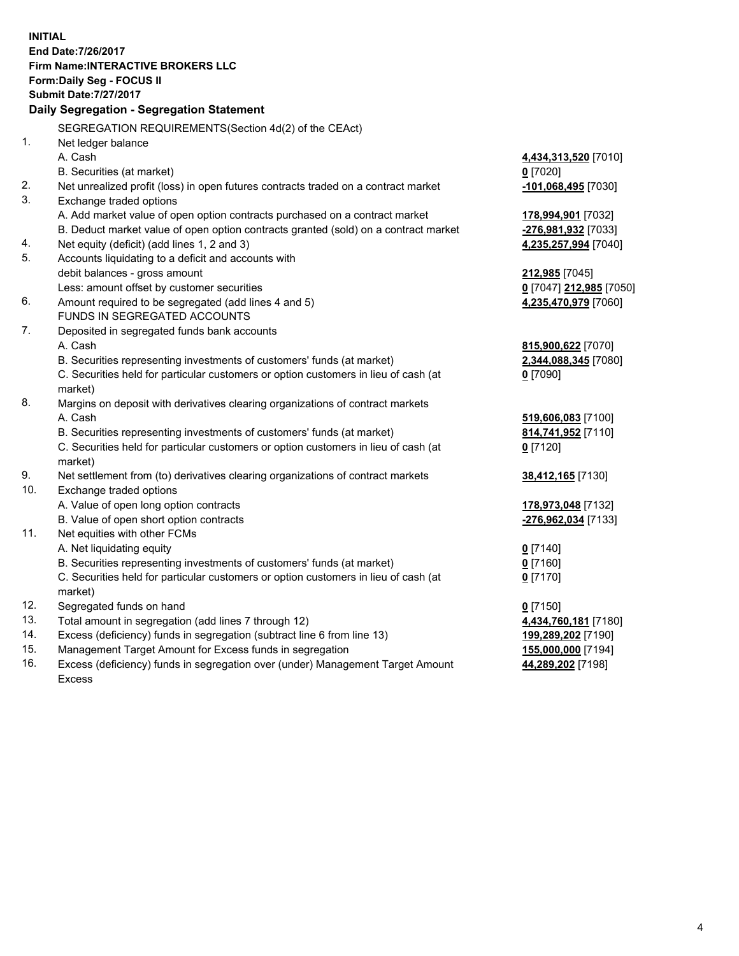**INITIAL End Date:7/26/2017 Firm Name:INTERACTIVE BROKERS LLC Form:Daily Seg - FOCUS II Submit Date:7/27/2017 Daily Segregation - Segregation Statement** SEGREGATION REQUIREMENTS(Section 4d(2) of the CEAct) 1. Net ledger balance A. Cash **4,434,313,520** [7010] B. Securities (at market) **0** [7020] 2. Net unrealized profit (loss) in open futures contracts traded on a contract market **-101,068,495** [7030] 3. Exchange traded options A. Add market value of open option contracts purchased on a contract market **178,994,901** [7032] B. Deduct market value of open option contracts granted (sold) on a contract market **-276,981,932** [7033] 4. Net equity (deficit) (add lines 1, 2 and 3) **4,235,257,994** [7040] 5. Accounts liquidating to a deficit and accounts with debit balances - gross amount **212,985** [7045] Less: amount offset by customer securities **0** [7047] **212,985** [7050] 6. Amount required to be segregated (add lines 4 and 5) **4,235,470,979** [7060] FUNDS IN SEGREGATED ACCOUNTS 7. Deposited in segregated funds bank accounts A. Cash **815,900,622** [7070] B. Securities representing investments of customers' funds (at market) **2,344,088,345** [7080] C. Securities held for particular customers or option customers in lieu of cash (at market) **0** [7090] 8. Margins on deposit with derivatives clearing organizations of contract markets A. Cash **519,606,083** [7100] B. Securities representing investments of customers' funds (at market) **814,741,952** [7110] C. Securities held for particular customers or option customers in lieu of cash (at market) **0** [7120] 9. Net settlement from (to) derivatives clearing organizations of contract markets **38,412,165** [7130] 10. Exchange traded options A. Value of open long option contracts **178,973,048** [7132] B. Value of open short option contracts **-276,962,034** [7133] 11. Net equities with other FCMs A. Net liquidating equity **0** [7140] B. Securities representing investments of customers' funds (at market) **0** [7160] C. Securities held for particular customers or option customers in lieu of cash (at market) **0** [7170] 12. Segregated funds on hand **0** [7150] 13. Total amount in segregation (add lines 7 through 12) **4,434,760,181** [7180] 14. Excess (deficiency) funds in segregation (subtract line 6 from line 13) **199,289,202** [7190] 15. Management Target Amount for Excess funds in segregation **155,000,000** [7194]

16. Excess (deficiency) funds in segregation over (under) Management Target Amount Excess

**44,289,202** [7198]